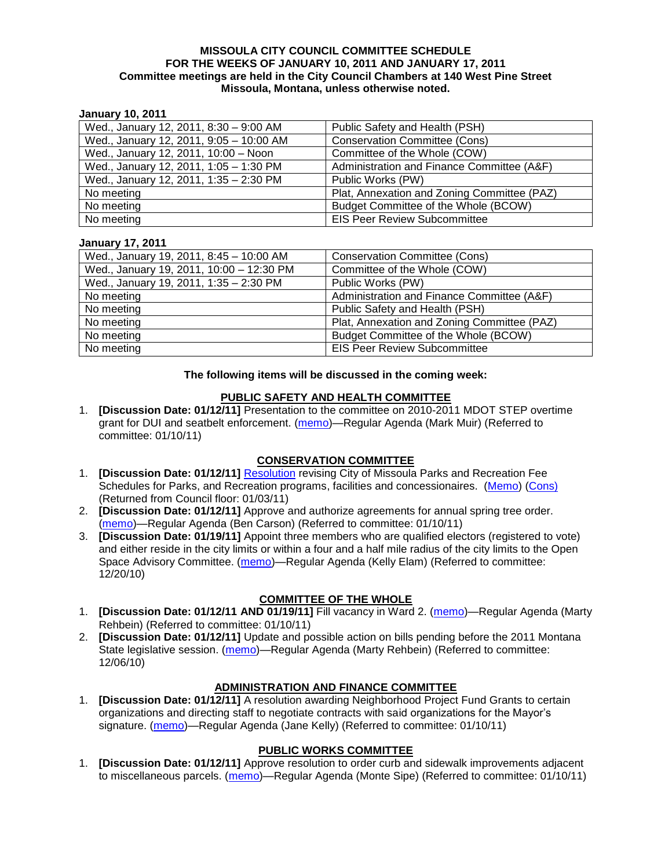#### **MISSOULA CITY COUNCIL COMMITTEE SCHEDULE FOR THE WEEKS OF JANUARY 10, 2011 AND JANUARY 17, 2011 Committee meetings are held in the City Council Chambers at 140 West Pine Street Missoula, Montana, unless otherwise noted.**

### **January 10, 2011**

| Wed., January 12, 2011, 8:30 - 9:00 AM  | Public Safety and Health (PSH)              |
|-----------------------------------------|---------------------------------------------|
| Wed., January 12, 2011, 9:05 - 10:00 AM | <b>Conservation Committee (Cons)</b>        |
| Wed., January 12, 2011, 10:00 - Noon    | Committee of the Whole (COW)                |
| Wed., January 12, 2011, 1:05 - 1:30 PM  | Administration and Finance Committee (A&F)  |
| Wed., January 12, 2011, 1:35 - 2:30 PM  | Public Works (PW)                           |
| No meeting                              | Plat, Annexation and Zoning Committee (PAZ) |
| No meeting                              | Budget Committee of the Whole (BCOW)        |
| No meeting                              | <b>EIS Peer Review Subcommittee</b>         |

#### **January 17, 2011**

| Wed., January 19, 2011, 8:45 - 10:00 AM  | Conservation Committee (Cons)               |
|------------------------------------------|---------------------------------------------|
| Wed., January 19, 2011, 10:00 - 12:30 PM | Committee of the Whole (COW)                |
| Wed., January 19, 2011, 1:35 - 2:30 PM   | Public Works (PW)                           |
| No meeting                               | Administration and Finance Committee (A&F)  |
| No meeting                               | Public Safety and Health (PSH)              |
| No meeting                               | Plat, Annexation and Zoning Committee (PAZ) |
| No meeting                               | Budget Committee of the Whole (BCOW)        |
| No meeting                               | <b>EIS Peer Review Subcommittee</b>         |

### **The following items will be discussed in the coming week:**

# **PUBLIC SAFETY AND HEALTH COMMITTEE**

1. **[Discussion Date: 01/12/11]** Presentation to the committee on 2010-2011 MDOT STEP overtime grant for DUI and seatbelt enforcement. [\(memo\)](http://www.ci.missoula.mt.us/DocumentView.aspx?DID=5351)—Regular Agenda (Mark Muir) (Referred to committee: 01/10/11)

# **CONSERVATION COMMITTEE**

- 1. **[Discussion Date: 01/12/11]** [Resolution](http://www.ci.missoula.mt.us/DocumentView.aspx?DID=5179) revising City of Missoula Parks and Recreation Fee Schedules for Parks, and Recreation programs, facilities and concessionaires. [\(Memo\)](http://www.ci.missoula.mt.us/DocumentView.aspx?DID=5207) [\(Cons\)](http://www.ci.missoula.mt.us/Archive.aspx?ADID=3312) (Returned from Council floor: 01/03/11)
- 2. **[Discussion Date: 01/12/11]** Approve and authorize agreements for annual spring tree order. [\(memo\)](http://www.ci.missoula.mt.us/DocumentView.aspx?DID=5350)—Regular Agenda (Ben Carson) (Referred to committee: 01/10/11)
- 3. **[Discussion Date: 01/19/11]** Appoint three members who are qualified electors (registered to vote) and either reside in the city limits or within a four and a half mile radius of the city limits to the Open Space Advisory Committee. [\(memo\)](http://www.ci.missoula.mt.us/DocumentView.aspx?DID=5253)—Regular Agenda (Kelly Elam) (Referred to committee: 12/20/10)

# **COMMITTEE OF THE WHOLE**

- 1. **[Discussion Date: 01/12/11 AND 01/19/11]** Fill vacancy in Ward 2. [\(memo\)](http://www.ci.missoula.mt.us/DocumentView.aspx?DID=5355)—Regular Agenda (Marty Rehbein) (Referred to committee: 01/10/11)
- 2. **[Discussion Date: 01/12/11]** Update and possible action on bills pending before the 2011 Montana State legislative session. [\(memo\)](http://www.ci.missoula.mt.us/DocumentView.aspx?DID=5146)—Regular Agenda (Marty Rehbein) (Referred to committee: 12/06/10)

# **ADMINISTRATION AND FINANCE COMMITTEE**

1. **[Discussion Date: 01/12/11]** A resolution awarding Neighborhood Project Fund Grants to certain organizations and directing staff to negotiate contracts with said organizations for the Mayor's signature. [\(memo\)](http://www.ci.missoula.mt.us/DocumentView.aspx?DID=5352)—Regular Agenda (Jane Kelly) (Referred to committee: 01/10/11)

### **PUBLIC WORKS COMMITTEE**

1. **[Discussion Date: 01/12/11]** Approve resolution to order curb and sidewalk improvements adjacent to miscellaneous parcels. [\(memo\)](http://www.ci.missoula.mt.us/DocumentView.aspx?DID=5353)—Regular Agenda (Monte Sipe) (Referred to committee: 01/10/11)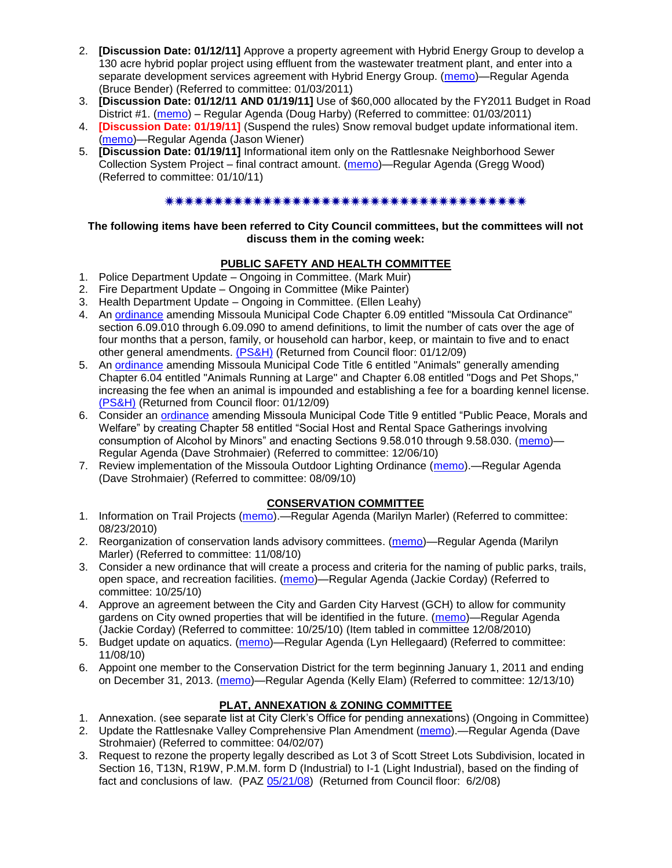- 2. **[Discussion Date: 01/12/11]** Approve a property agreement with Hybrid Energy Group to develop a 130 acre hybrid poplar project using effluent from the wastewater treatment plant, and enter into a separate development services agreement with Hybrid Energy Group. [\(memo\)](http://www.ci.missoula.mt.us/DocumentView.aspx?DID=5254)—Regular Agenda (Bruce Bender) (Referred to committee: 01/03/2011)
- 3. **[Discussion Date: 01/12/11 AND 01/19/11]** Use of \$60,000 allocated by the FY2011 Budget in Road District #1. [\(memo\)](http://www.ci.missoula.mt.us/DocumentView.aspx?DID=5308) – Regular Agenda (Doug Harby) (Referred to committee: 01/03/2011)
- 4. **[Discussion Date: 01/19/11]** (Suspend the rules) Snow removal budget update informational item. [\(memo\)](http://www.ci.missoula.mt.us/DocumentView.aspx?DID=5368)—Regular Agenda (Jason Wiener)
- 5. **[Discussion Date: 01/19/11]** Informational item only on the Rattlesnake Neighborhood Sewer Collection System Project – final contract amount. [\(memo\)](http://www.ci.missoula.mt.us/DocumentView.aspx?DID=5354)—Regular Agenda (Gregg Wood) (Referred to committee: 01/10/11)

### 

### **The following items have been referred to City Council committees, but the committees will not discuss them in the coming week:**

### **PUBLIC SAFETY AND HEALTH COMMITTEE**

- 1. Police Department Update Ongoing in Committee. (Mark Muir)
- 2. Fire Department Update Ongoing in Committee (Mike Painter)
- 3. Health Department Update Ongoing in Committee. (Ellen Leahy)
- 4. An [ordinance](ftp://ftp.ci.missoula.mt.us/Packets/Council/2008/2008-12-15/2008CatOrdinanceAmendment%5B1%5D.pdf) amending Missoula Municipal Code Chapter 6.09 entitled "Missoula Cat Ordinance" section 6.09.010 through 6.09.090 to amend definitions, to limit the number of cats over the age of four months that a person, family, or household can harbor, keep, or maintain to five and to enact other general amendments. [\(PS&H\)](ftp://ftp.ci.missoula.mt.us/Packets/Council/2008/2008-12-15/081210psh.pdf) (Returned from Council floor: 01/12/09)
- 5. An [ordinance](ftp://ftp.ci.missoula.mt.us/Packets/Council/2008/2008-12-15/DogOrdinance--PSHrevisions.pdf) amending Missoula Municipal Code Title 6 entitled "Animals" generally amending Chapter 6.04 entitled "Animals Running at Large" and Chapter 6.08 entitled "Dogs and Pet Shops," increasing the fee when an animal is impounded and establishing a fee for a boarding kennel license. [\(PS&H\)](ftp://ftp.ci.missoula.mt.us/Packets/Council/2008/2008-12-15/081210psh.pdf) (Returned from Council floor: 01/12/09)
- 6. Consider an [ordinance](http://www.ci.missoula.mt.us/DocumentView.aspx?DID=5133) amending Missoula Municipal Code Title 9 entitled "Public Peace, Morals and Welfare" by creating Chapter 58 entitled "Social Host and Rental Space Gatherings involving consumption of Alcohol by Minors" and enacting Sections 9.58.010 through 9.58.030. [\(memo\)](http://www.ci.missoula.mt.us/DocumentView.aspx?DID=5149)— Regular Agenda (Dave Strohmaier) (Referred to committee: 12/06/10)
- 7. Review implementation of the Missoula Outdoor Lighting Ordinance [\(memo\)](http://www.ci.missoula.mt.us/DocumentView.aspx?DID=4420).—Regular Agenda (Dave Strohmaier) (Referred to committee: 08/09/10)

#### **CONSERVATION COMMITTEE**

- 1. Information on Trail Projects [\(memo\)](http://www.ci.missoula.mt.us/DocumentView.aspx?DID=4477).—Regular Agenda (Marilyn Marler) (Referred to committee: 08/23/2010)
- 2. Reorganization of conservation lands advisory committees. [\(memo\)](http://www.ci.missoula.mt.us/DocumentView.aspx?DID=4957)—Regular Agenda (Marilyn Marler) (Referred to committee: 11/08/10)
- 3. Consider a new ordinance that will create a process and criteria for the naming of public parks, trails, open space, and recreation facilities. [\(memo\)](http://www.ci.missoula.mt.us/DocumentView.aspx?DID=4848)—Regular Agenda (Jackie Corday) (Referred to committee: 10/25/10)
- 4. Approve an agreement between the City and Garden City Harvest (GCH) to allow for community gardens on City owned properties that will be identified in the future. [\(memo\)](http://www.ci.missoula.mt.us/DocumentView.aspx?DID=4847)—Regular Agenda (Jackie Corday) (Referred to committee: 10/25/10) (Item tabled in committee 12/08/2010)
- 5. Budget update on aquatics. [\(memo\)](http://www.ci.missoula.mt.us/DocumentView.aspx?DID=4917)—Regular Agenda (Lyn Hellegaard) (Referred to committee: 11/08/10)
- 6. Appoint one member to the Conservation District for the term beginning January 1, 2011 and ending on December 31, 2013. [\(memo\)](http://www.ci.missoula.mt.us/DocumentView.aspx?DID=5204)—Regular Agenda (Kelly Elam) (Referred to committee: 12/13/10)

### **PLAT, ANNEXATION & ZONING COMMITTEE**

- 1. Annexation. (see separate list at City Clerk's Office for pending annexations) (Ongoing in Committee)
- 2. Update the Rattlesnake Valley Comprehensive Plan Amendment [\(memo\)](ftp://ftp.ci.missoula.mt.us/Packets/Council/2007/2007-04-02/Referrals/Rattlesnake_Plan_Update_referral.pdf).—Regular Agenda (Dave Strohmaier) (Referred to committee: 04/02/07)
- 3. Request to rezone the property legally described as Lot 3 of Scott Street Lots Subdivision, located in Section 16, T13N, R19W, P.M.M. form D (Industrial) to I-1 (Light Industrial), based on the finding of fact and conclusions of law. (PAZ [05/21/08\)](ftp://ftp.ci.missoula.mt.us/Packets/Council/2008/2008-06-02/080521paz.pdf) (Returned from Council floor: 6/2/08)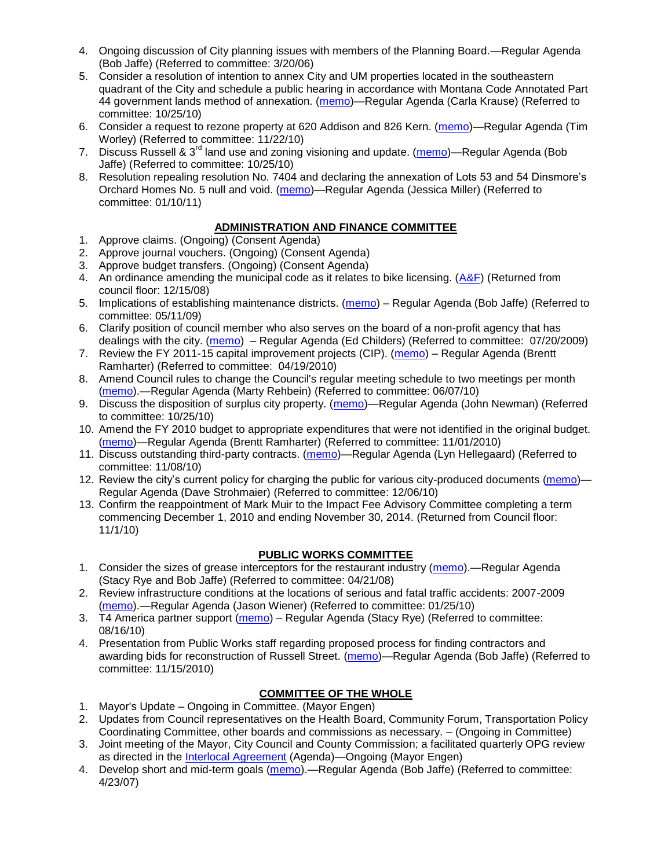- 4. Ongoing discussion of City planning issues with members of the Planning Board.—Regular Agenda (Bob Jaffe) (Referred to committee: 3/20/06)
- 5. Consider a resolution of intention to annex City and UM properties located in the southeastern quadrant of the City and schedule a public hearing in accordance with Montana Code Annotated Part 44 government lands method of annexation. [\(memo\)](http://www.ci.missoula.mt.us/DocumentView.aspx?DID=4845)—Regular Agenda (Carla Krause) (Referred to committee: 10/25/10)
- 6. Consider a request to rezone property at 620 Addison and 826 Kern. [\(memo\)](http://www.ci.missoula.mt.us/DocumentView.aspx?DID=5088)—Regular Agenda (Tim Worley) (Referred to committee: 11/22/10)
- 7. Discuss Russell & 3<sup>rd</sup> land use and zoning visioning and update. [\(memo\)](http://www.ci.missoula.mt.us/DocumentView.aspx?DID=4864)—Regular Agenda (Bob Jaffe) (Referred to committee: 10/25/10)
- 8. Resolution repealing resolution No. 7404 and declaring the annexation of Lots 53 and 54 Dinsmore's Orchard Homes No. 5 null and void. [\(memo\)](http://www.ci.missoula.mt.us/DocumentView.aspx?DID=5349)—Regular Agenda (Jessica Miller) (Referred to committee: 01/10/11)

## **ADMINISTRATION AND FINANCE COMMITTEE**

- 1. Approve claims. (Ongoing) (Consent Agenda)
- 2. Approve journal vouchers. (Ongoing) (Consent Agenda)
- 3. Approve budget transfers. (Ongoing) (Consent Agenda)
- 4. An ordinance amending the municipal code as it relates to bike licensing.  $(A\&F)$  (Returned from council floor: 12/15/08)
- 5. Implications of establishing maintenance districts. [\(memo\)](ftp://ftp.ci.missoula.mt.us/Packets/Council/2009/2009-05-11/Referrals/MaintenanceDistricts.pdf) Regular Agenda (Bob Jaffe) (Referred to committee: 05/11/09)
- 6. Clarify position of council member who also serves on the board of a non-profit agency that has dealings with the city. [\(memo\)](http://www.ci.missoula.mt.us/DocumentView.aspx?DID=1840) – Regular Agenda (Ed Childers) (Referred to committee: 07/20/2009)
- 7. Review the FY 2011-15 capital improvement projects (CIP). [\(memo\)](http://www.ci.missoula.mt.us/DocumentView.aspx?DID=3522) Regular Agenda (Brentt Ramharter) (Referred to committee: 04/19/2010)
- 8. Amend Council rules to change the Council's regular meeting schedule to two meetings per month [\(memo\)](http://www.ci.missoula.mt.us/DocumentView.aspx?DID=4027).—Regular Agenda (Marty Rehbein) (Referred to committee: 06/07/10)
- 9. Discuss the disposition of surplus city property. [\(memo\)](http://www.ci.missoula.mt.us/DocumentView.aspx?DID=4862)—Regular Agenda (John Newman) (Referred to committee: 10/25/10)
- 10. Amend the FY 2010 budget to appropriate expenditures that were not identified in the original budget. [\(memo\)](http://www.ci.missoula.mt.us/DocumentView.aspx?DID=4883)—Regular Agenda (Brentt Ramharter) (Referred to committee: 11/01/2010)
- 11. Discuss outstanding third-party contracts. [\(memo\)](http://www.ci.missoula.mt.us/DocumentView.aspx?DID=4956)—Regular Agenda (Lyn Hellegaard) (Referred to committee: 11/08/10)
- 12. Review the city's current policy for charging the public for various city-produced documents [\(memo\)](http://www.ci.missoula.mt.us/DocumentView.aspx?DID=5143) Regular Agenda (Dave Strohmaier) (Referred to committee: 12/06/10)
- 13. Confirm the reappointment of Mark Muir to the Impact Fee Advisory Committee completing a term commencing December 1, 2010 and ending November 30, 2014. (Returned from Council floor: 11/1/10)

# **PUBLIC WORKS COMMITTEE**

- 1. Consider the sizes of grease interceptors for the restaurant industry [\(memo\)](ftp://ftp.ci.missoula.mt.us/Packets/Council/2008/2008-04-21/Referrals/Industrial_waste_restaurants.pdf).—Regular Agenda (Stacy Rye and Bob Jaffe) (Referred to committee: 04/21/08)
- 2. Review infrastructure conditions at the locations of serious and fatal traffic accidents: 2007-2009 [\(memo\)](http://www.ci.missoula.mt.us/DocumentView.aspx?DID=3031).—Regular Agenda (Jason Wiener) (Referred to committee: 01/25/10)
- 3. T4 America partner support [\(memo\)](http://www.ci.missoula.mt.us/DocumentView.aspx?DID=4452) Regular Agenda (Stacy Rye) (Referred to committee: 08/16/10)
- 4. Presentation from Public Works staff regarding proposed process for finding contractors and awarding bids for reconstruction of Russell Street. [\(memo\)](http://www.ci.missoula.mt.us/DocumentView.aspx?DID=5042)—Regular Agenda (Bob Jaffe) (Referred to committee: 11/15/2010)

# **COMMITTEE OF THE WHOLE**

- 1. Mayor's Update Ongoing in Committee. (Mayor Engen)
- 2. Updates from Council representatives on the Health Board, Community Forum, Transportation Policy Coordinating Committee, other boards and commissions as necessary. – (Ongoing in Committee)
- 3. Joint meeting of the Mayor, City Council and County Commission; a facilitated quarterly OPG review as directed in the [Interlocal Agreement](ftp://ftp.ci.missoula.mt.us/Documents/Mayor/OPG/Adopted-ILA-2005.pdf) (Agenda)—Ongoing (Mayor Engen)
- 4. Develop short and mid-term goals [\(memo\)](ftp://ftp.ci.missoula.mt.us/Packets/Council/2007/2007-04-23/Referrals/Council_Goals.pdf).—Regular Agenda (Bob Jaffe) (Referred to committee: 4/23/07)